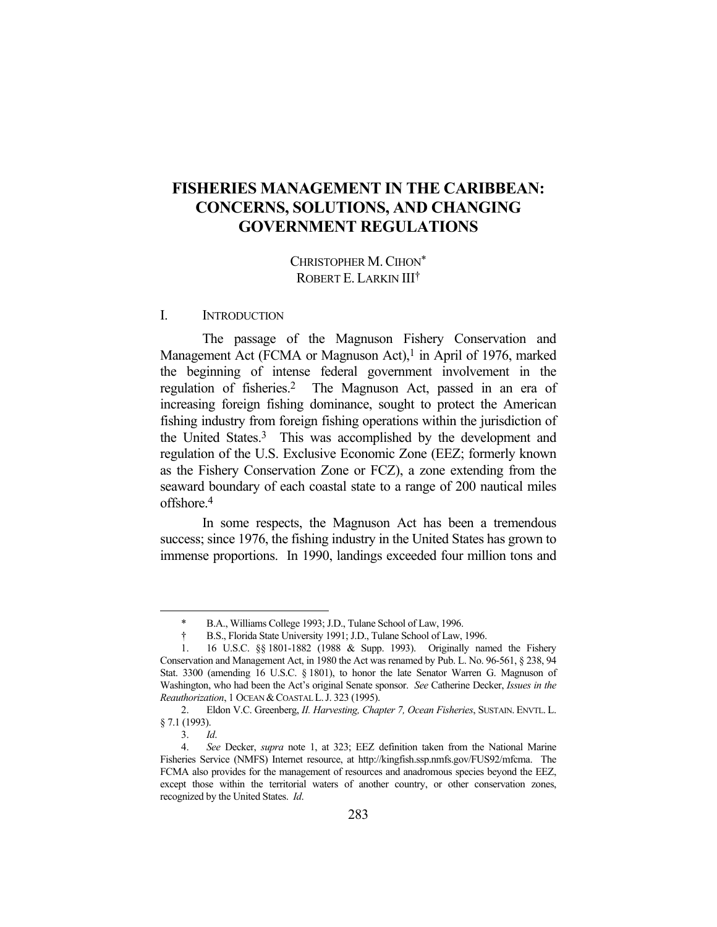# **FISHERIES MANAGEMENT IN THE CARIBBEAN: CONCERNS, SOLUTIONS, AND CHANGING GOVERNMENT REGULATIONS**

CHRISTOPHER M.CIHON\* ROBERT E. LARKIN III†

#### I. INTRODUCTION

 The passage of the Magnuson Fishery Conservation and Management Act (FCMA or Magnuson Act),<sup>1</sup> in April of 1976, marked the beginning of intense federal government involvement in the regulation of fisheries.2 The Magnuson Act, passed in an era of increasing foreign fishing dominance, sought to protect the American fishing industry from foreign fishing operations within the jurisdiction of the United States.3 This was accomplished by the development and regulation of the U.S. Exclusive Economic Zone (EEZ; formerly known as the Fishery Conservation Zone or FCZ), a zone extending from the seaward boundary of each coastal state to a range of 200 nautical miles offshore.4

 In some respects, the Magnuson Act has been a tremendous success; since 1976, the fishing industry in the United States has grown to immense proportions. In 1990, landings exceeded four million tons and

1

B.A., Williams College 1993; J.D., Tulane School of Law, 1996.

 <sup>†</sup> B.S., Florida State University 1991; J.D., Tulane School of Law, 1996.

 <sup>1. 16</sup> U.S.C. §§ 1801-1882 (1988 & Supp. 1993). Originally named the Fishery Conservation and Management Act, in 1980 the Act was renamed by Pub. L. No. 96-561, § 238, 94 Stat. 3300 (amending 16 U.S.C. § 1801), to honor the late Senator Warren G. Magnuson of Washington, who had been the Act's original Senate sponsor. *See* Catherine Decker, *Issues in the Reauthorization*, 1 OCEAN & COASTAL L. J. 323 (1995).

 <sup>2.</sup> Eldon V.C. Greenberg, *II. Harvesting, Chapter 7, Ocean Fisheries*, SUSTAIN. ENVTL. L. § 7.1 (1993).

 <sup>3.</sup> *Id*.

 <sup>4.</sup> *See* Decker, *supra* note 1, at 323; EEZ definition taken from the National Marine Fisheries Service (NMFS) Internet resource, at http://kingfish.ssp.nmfs.gov/FUS92/mfcma. The FCMA also provides for the management of resources and anadromous species beyond the EEZ, except those within the territorial waters of another country, or other conservation zones, recognized by the United States. *Id*.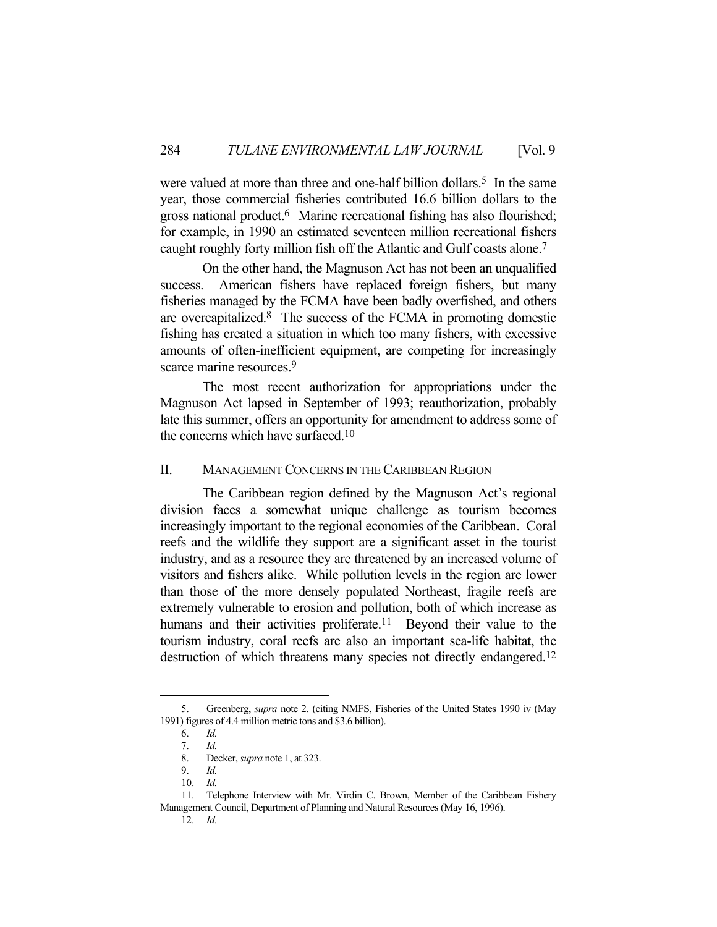were valued at more than three and one-half billion dollars.<sup>5</sup> In the same year, those commercial fisheries contributed 16.6 billion dollars to the gross national product.6 Marine recreational fishing has also flourished; for example, in 1990 an estimated seventeen million recreational fishers caught roughly forty million fish off the Atlantic and Gulf coasts alone.7

 On the other hand, the Magnuson Act has not been an unqualified success. American fishers have replaced foreign fishers, but many fisheries managed by the FCMA have been badly overfished, and others are overcapitalized.8 The success of the FCMA in promoting domestic fishing has created a situation in which too many fishers, with excessive amounts of often-inefficient equipment, are competing for increasingly scarce marine resources.<sup>9</sup>

 The most recent authorization for appropriations under the Magnuson Act lapsed in September of 1993; reauthorization, probably late this summer, offers an opportunity for amendment to address some of the concerns which have surfaced.10

### II. MANAGEMENT CONCERNS IN THE CARIBBEAN REGION

 The Caribbean region defined by the Magnuson Act's regional division faces a somewhat unique challenge as tourism becomes increasingly important to the regional economies of the Caribbean. Coral reefs and the wildlife they support are a significant asset in the tourist industry, and as a resource they are threatened by an increased volume of visitors and fishers alike. While pollution levels in the region are lower than those of the more densely populated Northeast, fragile reefs are extremely vulnerable to erosion and pollution, both of which increase as humans and their activities proliferate.<sup>11</sup> Beyond their value to the tourism industry, coral reefs are also an important sea-life habitat, the destruction of which threatens many species not directly endangered.<sup>12</sup>

<u>.</u>

12. *Id.*

 <sup>5.</sup> Greenberg, *supra* note 2. (citing NMFS, Fisheries of the United States 1990 iv (May 1991) figures of 4.4 million metric tons and \$3.6 billion).

 <sup>6.</sup> *Id.*

 <sup>7.</sup> *Id.* 

 <sup>8.</sup> Decker, *supra* note 1, at 323.

 <sup>9.</sup> *Id.*

 <sup>10.</sup> *Id.*

 <sup>11.</sup> Telephone Interview with Mr. Virdin C. Brown, Member of the Caribbean Fishery Management Council, Department of Planning and Natural Resources (May 16, 1996).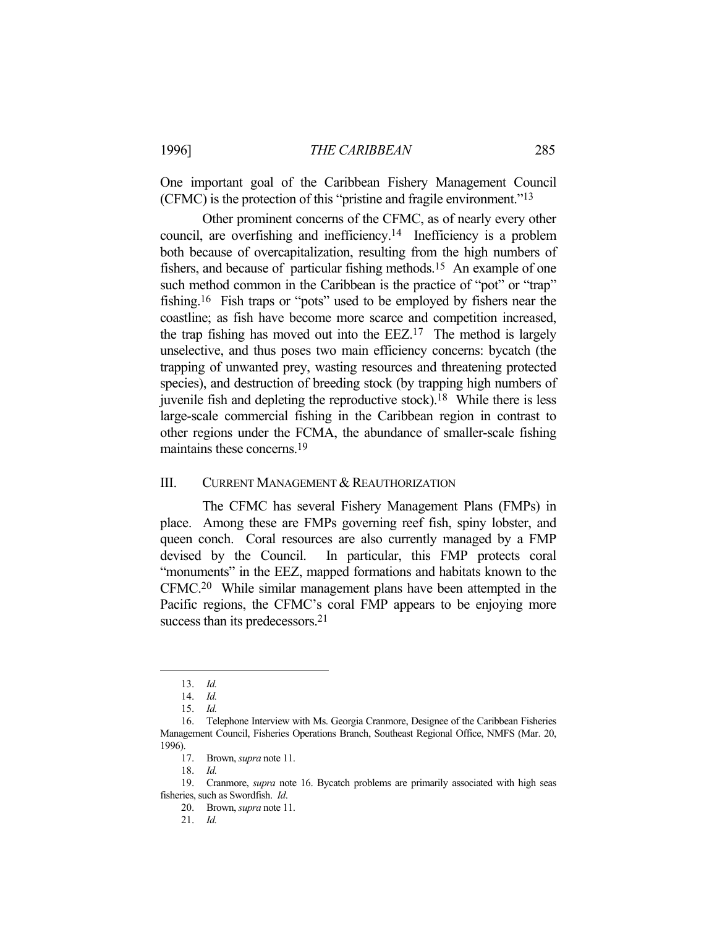One important goal of the Caribbean Fishery Management Council (CFMC) is the protection of this "pristine and fragile environment."13

 Other prominent concerns of the CFMC, as of nearly every other council, are overfishing and inefficiency.14 Inefficiency is a problem both because of overcapitalization, resulting from the high numbers of fishers, and because of particular fishing methods.15 An example of one such method common in the Caribbean is the practice of "pot" or "trap" fishing.16 Fish traps or "pots" used to be employed by fishers near the coastline; as fish have become more scarce and competition increased, the trap fishing has moved out into the  $EEZ<sup>17</sup>$  The method is largely unselective, and thus poses two main efficiency concerns: bycatch (the trapping of unwanted prey, wasting resources and threatening protected species), and destruction of breeding stock (by trapping high numbers of juvenile fish and depleting the reproductive stock).<sup>18</sup> While there is less large-scale commercial fishing in the Caribbean region in contrast to other regions under the FCMA, the abundance of smaller-scale fishing maintains these concerns.<sup>19</sup>

#### III. CURRENT MANAGEMENT & REAUTHORIZATION

 The CFMC has several Fishery Management Plans (FMPs) in place. Among these are FMPs governing reef fish, spiny lobster, and queen conch. Coral resources are also currently managed by a FMP devised by the Council. In particular, this FMP protects coral "monuments" in the EEZ, mapped formations and habitats known to the CFMC.20 While similar management plans have been attempted in the Pacific regions, the CFMC's coral FMP appears to be enjoying more success than its predecessors.<sup>21</sup>

1

 <sup>13.</sup> *Id.* 

 <sup>14.</sup> *Id.*

 <sup>15.</sup> *Id.*

 <sup>16.</sup> Telephone Interview with Ms. Georgia Cranmore, Designee of the Caribbean Fisheries Management Council, Fisheries Operations Branch, Southeast Regional Office, NMFS (Mar. 20, 1996).

 <sup>17.</sup> Brown, *supra* note 11.

 <sup>18.</sup> *Id.*

 <sup>19.</sup> Cranmore, *supra* note 16. Bycatch problems are primarily associated with high seas fisheries, such as Swordfish. *Id*.

 <sup>20.</sup> Brown, *supra* note 11.

 <sup>21.</sup> *Id.*